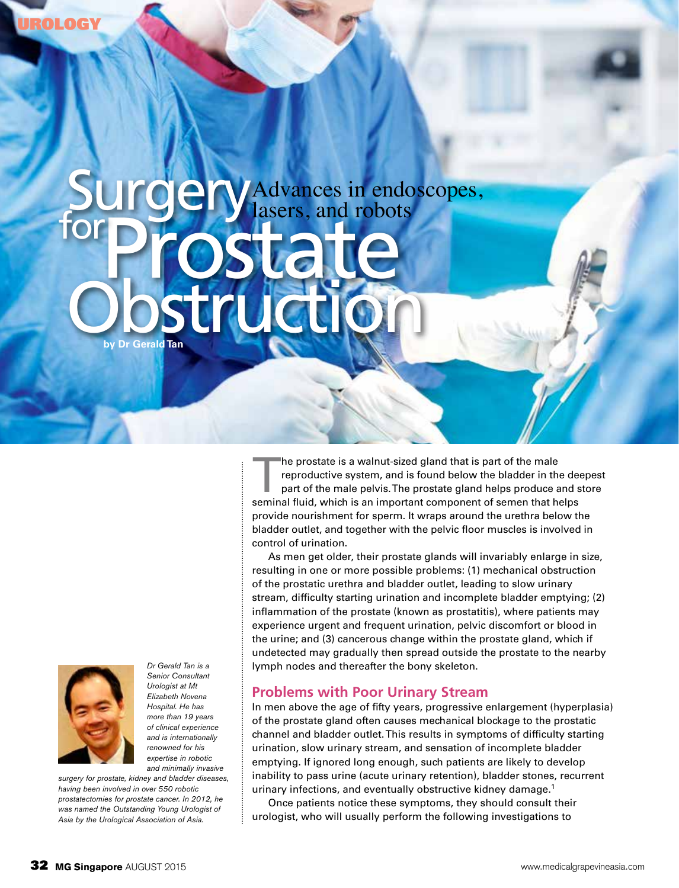# Advances in endoscopes, lasers, and robots **Gerald Tan** for **Prostate** Obstruction



*Dr Gerald Tan is a Senior Consultant Urologist at Mt Elizabeth Novena Hospital. He has more than 19 years of clinical experience and is internationally renowned for his expertise in robotic and minimally invasive* 

*surgery for prostate, kidney and bladder diseases, having been involved in over 550 robotic prostatectomies for prostate cancer. In 2012, he was named the Outstanding Young Urologist of Asia by the Urological Association of Asia.* 

The prostate is a walnut-sized gland that is part of the male<br>reproductive system, and is found below the bladder in the<br>part of the male pelvis. The prostate gland helps produce a<br>seminal fluid, which is an important comp reproductive system, and is found below the bladder in the deepest part of the male pelvis. The prostate gland helps produce and store seminal fluid, which is an important component of semen that helps provide nourishment for sperm. It wraps around the urethra below the bladder outlet, and together with the pelvic floor muscles is involved in control of urination.

As men get older, their prostate glands will invariably enlarge in size, resulting in one or more possible problems: (1) mechanical obstruction of the prostatic urethra and bladder outlet, leading to slow urinary stream, difficulty starting urination and incomplete bladder emptying; (2) inflammation of the prostate (known as prostatitis), where patients may experience urgent and frequent urination, pelvic discomfort or blood in the urine; and (3) cancerous change within the prostate gland, which if undetected may gradually then spread outside the prostate to the nearby lymph nodes and thereafter the bony skeleton.

## **Problems with Poor Urinary Stream**

In men above the age of fifty years, progressive enlargement (hyperplasia) of the prostate gland often causes mechanical blockage to the prostatic channel and bladder outlet. This results in symptoms of difficulty starting urination, slow urinary stream, and sensation of incomplete bladder emptying. If ignored long enough, such patients are likely to develop inability to pass urine (acute urinary retention), bladder stones, recurrent urinary infections, and eventually obstructive kidney damage.<sup>1</sup>

Once patients notice these symptoms, they should consult their urologist, who will usually perform the following investigations to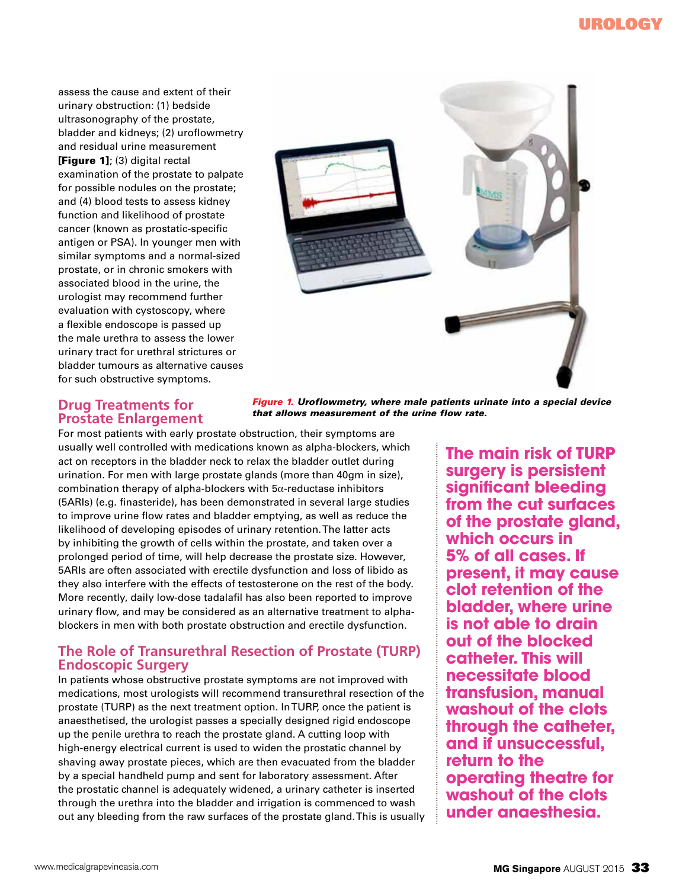assess the cause and extent of their urinary obstruction: (1) bedside ultrasonography of the prostate, bladder and kidneys; (2) uroflowmetry and residual urine measurement [Figure 1]; (3) digital rectal examination of the prostate to palpate for possible nodules on the prostate; and (4) blood tests to assess kidney function and likelihood of prostate cancer (known as prostatic-specific antigen or PSA). In younger men with similar symptoms and a normal-sized prostate, or in chronic smokers with associated blood in the urine, the urologist may recommend further evaluation with cystoscopy, where a flexible endoscope is passed up the male urethra to assess the lower urinary tract for urethral strictures or bladder tumours as alternative causes for such obstructive symptoms.



#### **Drug Treatments for Prostate Enlargement** *Figure 1. Uroflowmetry, where male patients urinate into a special device that allows measurement of the urine flow rate.*

For most patients with early prostate obstruction, their symptoms are usually well controlled with medications known as alpha-blockers, which act on receptors in the bladder neck to relax the bladder outlet during urination. For men with large prostate glands (more than 40gm in size), combination therapy of alpha-blockers with  $5\alpha$ -reductase inhibitors (5ARIs) (e.g. finasteride), has been demonstrated in several large studies to improve urine flow rates and bladder emptying, as well as reduce the likelihood of developing episodes of urinary retention. The latter acts by inhibiting the growth of cells within the prostate, and taken over a prolonged period of time, will help decrease the prostate size. However, 5ARIs are often associated with erectile dysfunction and loss of libido as they also interfere with the effects of testosterone on the rest of the body. More recently, daily low-dose tadalafil has also been reported to improve urinary flow, and may be considered as an alternative treatment to alphablockers in men with both prostate obstruction and erectile dysfunction.

### **The Role of Transurethral Resection of Prostate (TURP) Endoscopic Surgery**

In patients whose obstructive prostate symptoms are not improved with medications, most urologists will recommend transurethral resection of the prostate (TURP) as the next treatment option. In TURP, once the patient is anaesthetised, the urologist passes a specially designed rigid endoscope up the penile urethra to reach the prostate gland. A cutting loop with high-energy electrical current is used to widen the prostatic channel by shaving away prostate pieces, which are then evacuated from the bladder by a special handheld pump and sent for laboratory assessment. After the prostatic channel is adequately widened, a urinary catheter is inserted through the urethra into the bladder and irrigation is commenced to wash out any bleeding from the raw surfaces of the prostate gland. This is usually

**The main risk of TURP surgery is persistent significant bleeding from the cut surfaces of the prostate gland, which occurs in 5% of all cases. If present, it may cause clot retention of the bladder, where urine is not able to drain out of the blocked catheter. This will necessitate blood transfusion, manual washout of the clots through the catheter, and if unsuccessful, return to the operating theatre for washout of the clots under anaesthesia.**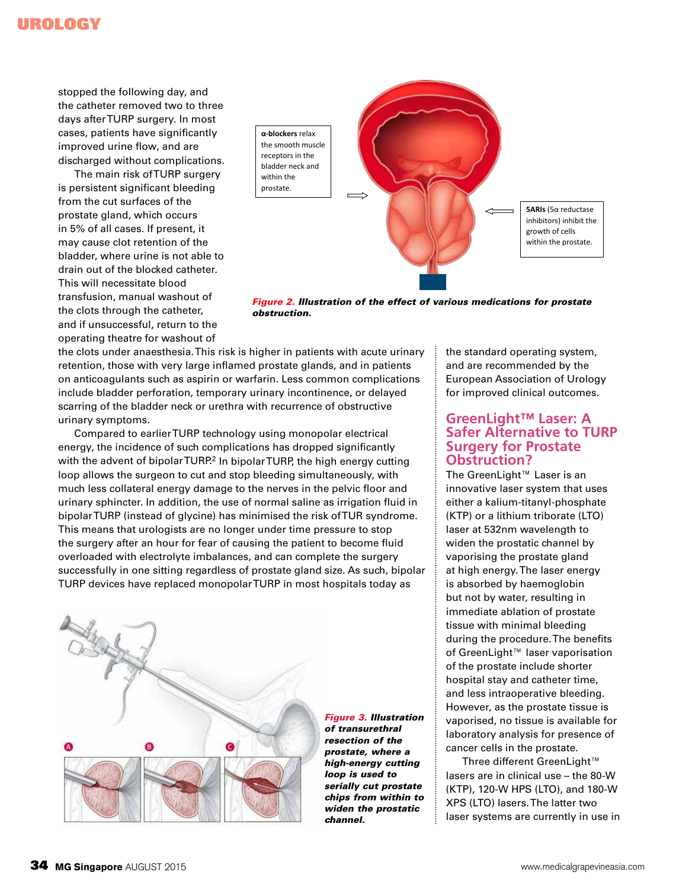## Urology

stopped the following day, and the catheter removed two to three days after TURP surgery. In most cases, patients have significantly improved urine flow, and are discharged without complications.

The main risk of TURP surgery is persistent significant bleeding from the cut surfaces of the prostate gland, which occurs in 5% of all cases. If present, it may cause clot retention of the bladder, where urine is not able to drain out of the blocked catheter. This will necessitate blood transfusion, manual washout of the clots through the catheter, and if unsuccessful, return to the operating theatre for washout of



*Figure 2. Illustration of the effect of various medications for prostate obstruction.* 

the clots under anaesthesia. This risk is higher in patients with acute urinary retention, those with very large inflamed prostate glands, and in patients on anticoagulants such as aspirin or warfarin. Less common complications include bladder perforation, temporary urinary incontinence, or delayed scarring of the bladder neck or urethra with recurrence of obstructive urinary symptoms.

Compared to earlier TURP technology using monopolar electrical energy, the incidence of such complications has dropped significantly with the advent of bipolar TURP.<sup>2</sup> In bipolar TURP, the high energy cutting loop allows the surgeon to cut and stop bleeding simultaneously, with much less collateral energy damage to the nerves in the pelvic floor and urinary sphincter. In addition, the use of normal saline as irrigation fluid in bipolar TURP (instead of glycine) has minimised the risk of TUR syndrome. This means that urologists are no longer under time pressure to stop the surgery after an hour for fear of causing the patient to become fluid overloaded with electrolyte imbalances, and can complete the surgery successfully in one sitting regardless of prostate gland size. As such, bipolar TURP devices have replaced monopolar TURP in most hospitals today as



*Figure 3. Illustration of transurethral resection of the prostate, where a high-energy cutting loop is used to serially cut prostate chips from within to widen the prostatic channel.* 

the standard operating system, and are recommended by the European Association of Urology for improved clinical outcomes.

#### **GreenLight™ Laser: A Safer Alternative to TURP Surgery for Prostate Obstruction?**

The GreenLight™ Laser is an innovative laser system that uses either a kalium-titanyl-phosphate (KTP) or a lithium triborate (LTO) laser at 532nm wavelength to widen the prostatic channel by vaporising the prostate gland at high energy. The laser energy is absorbed by haemoglobin but not by water, resulting in immediate ablation of prostate tissue with minimal bleeding during the procedure. The benefits of GreenLight™ laser vaporisation of the prostate include shorter hospital stay and catheter time, and less intraoperative bleeding. However, as the prostate tissue is vaporised, no tissue is available for laboratory analysis for presence of cancer cells in the prostate.

Three different GreenLight™ lasers are in clinical use – the 80-W (KTP), 120-W HPS (LTO), and 180-W XPS (LTO) lasers. The latter two laser systems are currently in use in